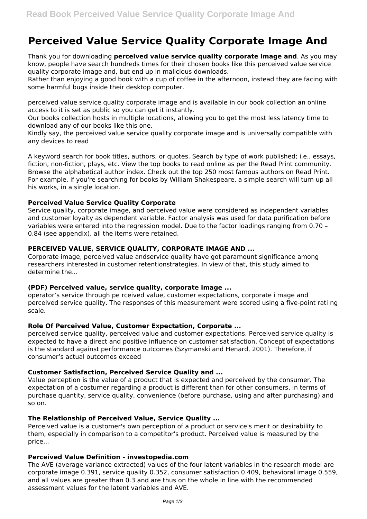# **Perceived Value Service Quality Corporate Image And**

Thank you for downloading **perceived value service quality corporate image and**. As you may know, people have search hundreds times for their chosen books like this perceived value service quality corporate image and, but end up in malicious downloads.

Rather than enjoying a good book with a cup of coffee in the afternoon, instead they are facing with some harmful bugs inside their desktop computer.

perceived value service quality corporate image and is available in our book collection an online access to it is set as public so you can get it instantly.

Our books collection hosts in multiple locations, allowing you to get the most less latency time to download any of our books like this one.

Kindly say, the perceived value service quality corporate image and is universally compatible with any devices to read

A keyword search for book titles, authors, or quotes. Search by type of work published; i.e., essays, fiction, non-fiction, plays, etc. View the top books to read online as per the Read Print community. Browse the alphabetical author index. Check out the top 250 most famous authors on Read Print. For example, if you're searching for books by William Shakespeare, a simple search will turn up all his works, in a single location.

## **Perceived Value Service Quality Corporate**

Service quality, corporate image, and perceived value were considered as independent variables and customer loyalty as dependent variable. Factor analysis was used for data purification before variables were entered into the regression model. Due to the factor loadings ranging from 0.70 – 0.84 (see appendix), all the items were retained.

## **PERCEIVED VALUE, SERVICE QUALITY, CORPORATE IMAGE AND ...**

Corporate image, perceived value andservice quality have got paramount significance among researchers interested in customer retentionstrategies. In view of that, this study aimed to determine the...

#### **(PDF) Perceived value, service quality, corporate image ...**

operator's service through pe rceived value, customer expectations, corporate i mage and perceived service quality. The responses of this measurement were scored using a five-point rati ng scale.

#### **Role Of Perceived Value, Customer Expectation, Corporate ...**

perceived service quality, perceived value and customer expectations. Perceived service quality is expected to have a direct and positive influence on customer satisfaction. Concept of expectations is the standard against performance outcomes (Szymanski and Henard, 2001). Therefore, if consumer's actual outcomes exceed

# **Customer Satisfaction, Perceived Service Quality and ...**

Value perception is the value of a product that is expected and perceived by the consumer. The expectation of a costumer regarding a product is different than for other consumers, in terms of purchase quantity, service quality, convenience (before purchase, using and after purchasing) and so on.

#### **The Relationship of Perceived Value, Service Quality ...**

Perceived value is a customer's own perception of a product or service's merit or desirability to them, especially in comparison to a competitor's product. Perceived value is measured by the price...

#### **Perceived Value Definition - investopedia.com**

The AVE (average variance extracted) values of the four latent variables in the research model are corporate image 0.391, service quality 0.352, consumer satisfaction 0.409, behavioral image 0.559, and all values are greater than 0.3 and are thus on the whole in line with the recommended assessment values for the latent variables and AVE.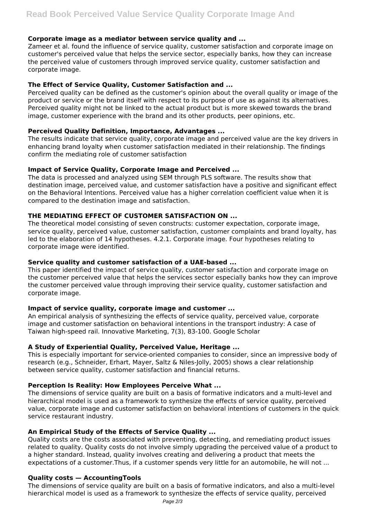# **Corporate image as a mediator between service quality and ...**

Zameer et al. found the influence of service quality, customer satisfaction and corporate image on customer's perceived value that helps the service sector, especially banks, how they can increase the perceived value of customers through improved service quality, customer satisfaction and corporate image.

## **The Effect of Service Quality, Customer Satisfaction and ...**

Perceived quality can be defined as the customer's opinion about the overall quality or image of the product or service or the brand itself with respect to its purpose of use as against its alternatives. Perceived quality might not be linked to the actual product but is more skewed towards the brand image, customer experience with the brand and its other products, peer opinions, etc.

## **Perceived Quality Definition, Importance, Advantages ...**

The results indicate that service quality, corporate image and perceived value are the key drivers in enhancing brand loyalty when customer satisfaction mediated in their relationship. The findings confirm the mediating role of customer satisfaction

## **Impact of Service Quality, Corporate Image and Perceived ...**

The data is processed and analyzed using SEM through PLS software. The results show that destination image, perceived value, and customer satisfaction have a positive and significant effect on the Behavioral Intentions. Perceived value has a higher correlation coefficient value when it is compared to the destination image and satisfaction.

## **THE MEDIATING EFFECT OF CUSTOMER SATISFACTION ON ...**

The theoretical model consisting of seven constructs: customer expectation, corporate image, service quality, perceived value, customer satisfaction, customer complaints and brand loyalty, has led to the elaboration of 14 hypotheses. 4.2.1. Corporate image. Four hypotheses relating to corporate image were identified.

#### **Service quality and customer satisfaction of a UAE-based ...**

This paper identified the impact of service quality, customer satisfaction and corporate image on the customer perceived value that helps the services sector especially banks how they can improve the customer perceived value through improving their service quality, customer satisfaction and corporate image.

# **Impact of service quality, corporate image and customer ...**

An empirical analysis of synthesizing the effects of service quality, perceived value, corporate image and customer satisfaction on behavioral intentions in the transport industry: A case of Taiwan high-speed rail. Innovative Marketing, 7(3), 83-100. Google Scholar

# **A Study of Experiential Quality, Perceived Value, Heritage ...**

This is especially important for service-oriented companies to consider, since an impressive body of research (e.g., Schneider, Erhart, Mayer, Saltz & Niles-Jolly, 2005) shows a clear relationship between service quality, customer satisfaction and financial returns.

# **Perception Is Reality: How Employees Perceive What ...**

The dimensions of service quality are built on a basis of formative indicators and a multi-level and hierarchical model is used as a framework to synthesize the effects of service quality, perceived value, corporate image and customer satisfaction on behavioral intentions of customers in the quick service restaurant industry.

# **An Empirical Study of the Effects of Service Quality ...**

Quality costs are the costs associated with preventing, detecting, and remediating product issues related to quality. Quality costs do not involve simply upgrading the perceived value of a product to a higher standard. Instead, quality involves creating and delivering a product that meets the expectations of a customer.Thus, if a customer spends very little for an automobile, he will not ...

## **Quality costs — AccountingTools**

The dimensions of service quality are built on a basis of formative indicators, and also a multi-level hierarchical model is used as a framework to synthesize the effects of service quality, perceived